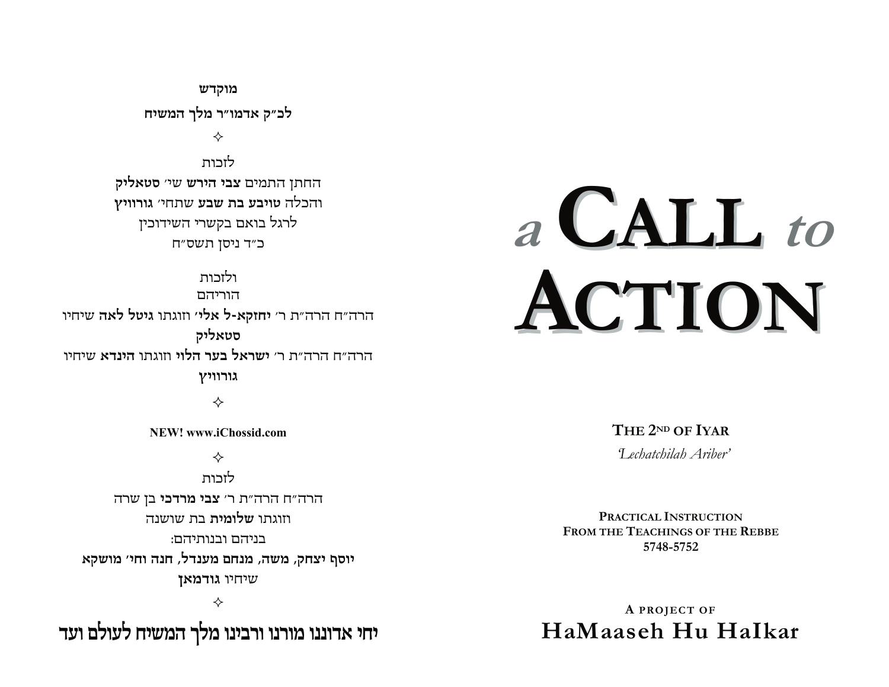מוקדש לכ"ק אדמו"ר מלך המשיח ✧ לזרוח

החתן התמים צבי הירש שי׳ סטאליק והכלה טויבע בת שבע שתחי׳ גורוויץ לרגל בואם בקשרי השידוכין כ״ד ניסן תשס״ח

ולזרוח הוריהם הרה"ח הרה"ת ר' יחזקא-ל אלי' וזוגתו גיטל לאה שיחיו סטאליק הרה״ח הרה״ת ר׳ **ישראל בער הלוי** וזוגתו **הינדא** שיחיו גורוויץ

✧

NEW! www.iChossid.com

♦

לזכות הרה"ח הרה"ת ר' צבי מרדכי בן שרה וזוגתו **שלומית** בת שושנה בניהם ובנותיהם: יוסף יצחק, משה, מנחם מענדל, חנה וחי׳ מושקא שיחיו גודמאן

✧

יחי אדוננו מורנו ורבינו מלך המשיח לעולם ועד

# a CALL to ACTION

THE 2ND OF IYAR

Techatchilah Ariber'

PRACTICAL INSTRUCTION FROM THE TEACHINGS OF THE REBBE 5748-5752

A PROJECT OF HaMaaseh Hu Halkar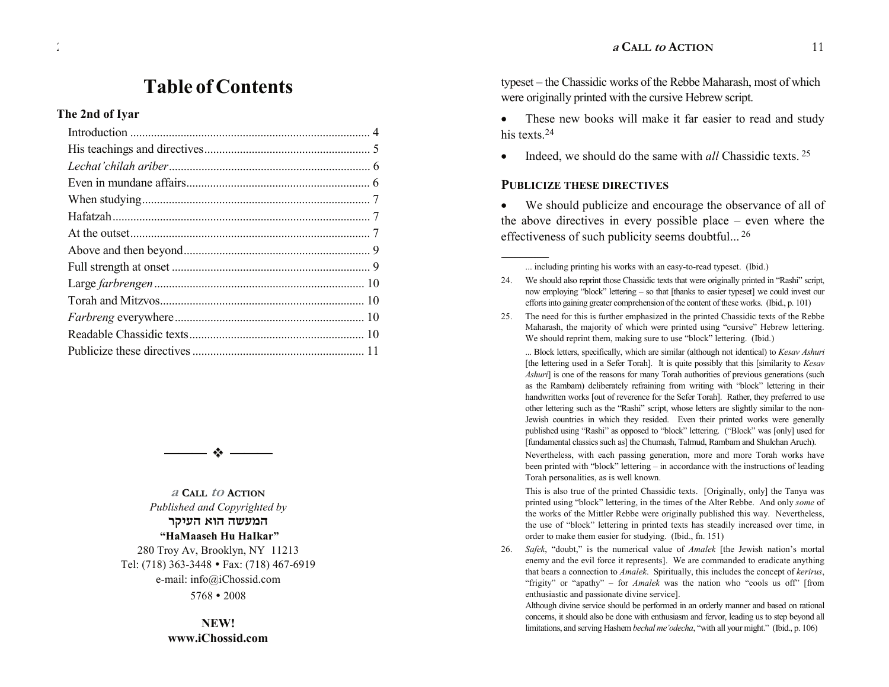## **Table of Contents**

#### The 2nd of Iyar

 $\frac{1}{2}$ 



a Call to Action Published and Copyrighted by המעשה הוא העיקר "HaMaaseh Hu HaIkar" 280 Troy Av, Brooklyn, NY 11213 Tel: (718) 363-3448 • Fax: (718) 467-6919 e-mail: info@iChossid.com  $5768 \cdot 2008$ 

> NEW! www.iChossid.com

typeset – the Chassidic works of the Rebbe Maharash, most of which were originally printed with the cursive Hebrew script.

These new books will make it far easier to read and study his texts  $24$ 

Indeed, we should do the same with *all* Chassidic texts. <sup>25</sup>  $\bullet$ 

#### **PUBLICIZE THESE DIRECTIVES**

We should publicize and encourage the observance of all of  $\bullet$ the above directives in every possible place  $-$  even where the effectiveness of such publicity seems doubtful...<sup>26</sup>

... Block letters, specifically, which are similar (although not identical) to Kesav Ashuri [the lettering used in a Sefer Torah]. It is quite possibly that this [similarity to Kesav Ashuri] is one of the reasons for many Torah authorities of previous generations (such as the Rambam) deliberately refraining from writing with "block" lettering in their handwritten works [out of reverence for the Sefer Torah]. Rather, they preferred to use other lettering such as the "Rashi" script, whose letters are slightly similar to the non-Jewish countries in which they resided. Even their printed works were generally published using "Rashi" as opposed to "block" lettering. ("Block" was [only] used for [fundamental classics such as] the Chumash, Talmud, Rambam and Shulchan Aruch).

Nevertheless, with each passing generation, more and more Torah works have been printed with "block" lettering – in accordance with the instructions of leading Torah personalities, as is well known.

This is also true of the printed Chassidic texts. [Originally, only] the Tanya was printed using "block" lettering, in the times of the Alter Rebbe. And only some of the works of the Mittler Rebbe were originally published this way. Nevertheless, the use of "block" lettering in printed texts has steadily increased over time, in order to make them easier for studying. (Ibid., fn. 151)

26. Safek, "doubt," is the numerical value of Amalek [the Jewish nation's mortal enemy and the evil force it represents]. We are commanded to eradicate anything that bears a connection to *Amalek*. Spiritually, this includes the concept of kerirus, "frigity" or "apathy" – for *Amalek* was the nation who "cools us off" [from enthusiastic and passionate divine service].

Although divine service should be performed in an orderly manner and based on rational concerns, it should also be done with enthusiasm and fervor, leading us to step beyond all limitations, and serving Hashem bechal me'odecha, "with all your might." (Ibid., p. 106)

<sup>...</sup> including printing his works with an easy-to-read typeset. (Ibid.)

<sup>24.</sup> We should also reprint those Chassidic texts that were originally printed in "Rashi" script, now employing "block" lettering – so that [thanks to easier typeset] we could invest our efforts into gaining greater comprehension of the content of these works. (Ibid., p. 101)

<sup>25.</sup> The need for this is further emphasized in the printed Chassidic texts of the Rebbe Maharash, the majority of which were printed using "cursive" Hebrew lettering. We should reprint them, making sure to use "block" lettering. (Ibid.)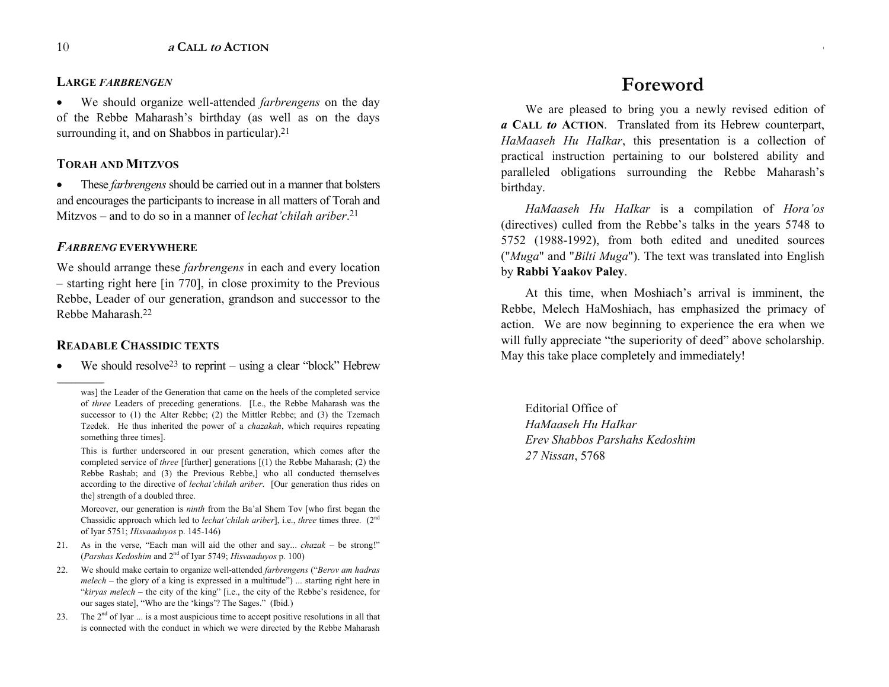#### **LARGE** *FARBRENGEN*

� We should organize well-attended *farbrengens* on the day of the Rebbe Maharash's birthday (as well as on the days surrounding it, and on Shabbos in particular).<sup>21</sup>

#### **TORAH AND MITZVOS**

• These *farbrengens* should be carried out in a manner that bolsters and encourages the participants to increase in all matters of Torah and Mitzvos – and to do so in a manner of *lechat' chilah ariber*.<sup>21</sup>

#### *FARBRENG* **EVERYWHERE**

We should arrange these *farbrengens* in each and every location  $-$  starting right here [in 770], in close proximity to the Previous Rebbe, Leader of our generation, grandson and successor to the Rebbe Maharash.22

#### **READABLE CHASSIDIC TEXTS**

------------------------------------------------

We should resolve<sup>23</sup> to reprint  $-$  using a clear "block" Hebrew

This is further underscored in our present generation, which comes after the completed service of *three* [further] generations [(1) the Rebbe Maharash; (2) the Rebbe Rashab; and (3) the Previous Rebbe,] who all conducted themselves according to the directive of *lechat'chilah ariber*. [Our generation thus rides on the] strength of a doubled three.

Moreover, our generation is *ninth* from the Ba'al Shem Tov [who first began the Chassidic approach which led to *lechat'chilah ariber*], i.e., *three* times three. (2<sup>nd</sup>) of Iyar 5751; *Hisvaaduyos* p. 145-146)

- 21. As in the verse, "Each man will aid the other and say... *chazak* be strong!" (*Parshas Kedoshim* and 2nd of Iyar 5749; *Hisvaaduyos* p. 100)
- 22. We should make certain to organize well-attended *farbrengens* ("*Berov am hadras*  $melech$  – the glory of a king is expressed in a multitude") ... starting right here in " $kirvas$  melech – the city of the king" [i.e., the city of the Rebbe's residence, for our sages state], "Who are the 'kings'? The Sages." (Ibid.)
- 23. The  $2<sup>nd</sup>$  of Iyar  $\dots$  is a most auspicious time to accept positive resolutions in all that is connected with the conduct in which we were directed by the Rebbe Maharash

## **Foreword**

**<sup>a</sup> CALL to ACTION** 3

We are pleased to bring you a newly revised edition of *a* **CALL** *to* **ACTION**. Translated from its Hebrew counterpart, *HaMaaseh Hu HaIkar*, this presentation is a collection of practical instruction pertaining to our bolstered ability and paralleled obligations surrounding the Rebbe Maharash's birthday.

*HaMaaseh Hu HaIkar* is a compilation of *Hora'os* (directives) culled from the Rebbe's talks in the years 5748 to 5752 (1988-1992), from both edited and unedited sources ("*Muga*" and "*Bilti Muga*"). The text was translated into English by **Rabbi Yaakov Paley**.

At this time, when Moshiach's arrival is imminent, the Rebbe, Melech HaMoshiach, has emphasized the primacy of action. We are now beginning to experience the era when we will fully appreciate "the superiority of deed" above scholarship. May this take place completely and immediately!

Editorial Office of *HaMaaseh Hu HaIkar Erev Shabbos Parshahs Kedoshim 27 Nissan*, 5768

was] the Leader of the Generation that came on the heels of the completed service of *three* Leaders of preceding generations. [I.e., the Rebbe Maharash was the successor to (1) the Alter Rebbe; (2) the Mittler Rebbe; and (3) the Tzemach Tzedek. He thus inherited the power of a *chazakah*, which requires repeating something three times].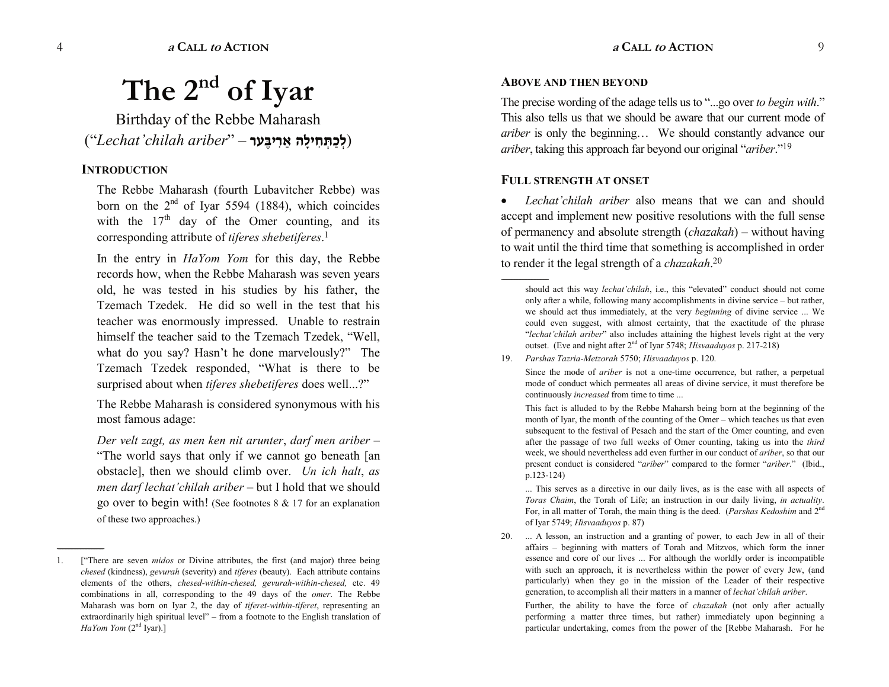# **The 2nd of Iyar**

Birthday of the Rebbe Maharash (**לְכַתְּחִילָה אֲרִיבֵּעִר** – "Lechat'chilah ariber

#### **INTRODUCTION**

------------------------------------------------

The Rebbe Maharash (fourth Lubavitcher Rebbe) was born on the  $2<sup>nd</sup>$  of Iyar 5594 (1884), which coincides with the  $17<sup>th</sup>$  day of the Omer counting, and its corresponding attribute of *tiferes shebetiferes*. 1

In the entry in *HaYom Yom* for this day, the Rebbe records how, when the Rebbe Maharash was seven years old, he was tested in his studies by his father, the Tzemach Tzedek. He did so well in the test that his teacher was enormously impressed. Unable to restrain himself the teacher said to the Tzemach Tzedek, "Well, what do you say? Hasn't he done marvelously?" The Tzemach Tzedek responded, What is there to be surprised about when *tiferes shebetiferes* does well...?

The Rebbe Maharash is considered synonymous with his most famous adage:

*Der velt zagt, as men ken nit arunter*, *darf men ariber* The world says that only if we cannot go beneath [an obstacle], then we should climb over. *Un ich halt*, *as men darf lechat'chilah ariber* – but I hold that we should go over to begin with! (See footnotes 8 & 17 for an explanation of these two approaches.)

#### **ABOVE AND THEN BEYOND**

The precise wording of the adage tells us to "...go over *to begin with*." This also tells us that we should be aware that our current mode of *ariber* is only the beginning... We should constantly advance our *ariber*, taking this approach far beyond our original "*ariber*."<sup>19</sup>

#### **FULL STRENGTH AT ONSET**

*Lechat'chilah ariber* also means that we can and should accept and implement new positive resolutions with the full sense of permanency and absolute strength (*chazakah*) without having to wait until the third time that something is accomplished in order to render it the legal strength of a *chazakah*. 20

----------------------------------------------- should act this way *lechat'chilah*, i.e., this "elevated" conduct should not come only after a while, following many accomplishments in divine service – but rather, we should act thus immediately, at the very *beginning* of divine service ... We could even suggest, with almost certainty, that the exactitude of the phrase *lechat chilah ariber*" also includes attaining the highest levels right at the very outset. (Eve and night after 2nd of Iyar 5748; *Hisvaaduyos* p. 217-218)

19. *Parshas Tazria-Metzorah* 5750; *Hisvaaduyos* p. 120.

Since the mode of *ariber* is not a one-time occurrence, but rather, a perpetual mode of conduct which permeates all areas of divine service, it must therefore be continuously *increased* from time to time ...

This fact is alluded to by the Rebbe Maharsh being born at the beginning of the month of Iyar, the month of the counting of the Omer – which teaches us that even subsequent to the festival of Pesach and the start of the Omer counting, and even after the passage of two full weeks of Omer counting, taking us into the *third* week, we should nevertheless add even further in our conduct of *ariber*, so that our present conduct is considered "*ariber*" compared to the former "*ariber*." (Ibid., p.123-124)

... This serves as a directive in our daily lives, as is the case with all aspects of *Toras Chaim*, the Torah of Life; an instruction in our daily living, *in actuality*. For, in all matter of Torah, the main thing is the deed. (*Parshas Kedoshim* and 2nd of Iyar 5749; *Hisvaaduyos* p. 87)

20. ... A lesson, an instruction and a granting of power, to each Jew in all of their affairs beginning with matters of Torah and Mitzvos, which form the inner essence and core of our lives ... For although the worldly order is incompatible with such an approach, it is nevertheless within the power of every Jew, (and particularly) when they go in the mission of the Leader of their respective generation, to accomplish all their matters in a manner of *lechat'chilah ariber*.

Further, the ability to have the force of *chazakah* (not only after actually performing a matter three times, but rather) immediately upon beginning a particular undertaking, comes from the power of the [Rebbe Maharash. For he

<sup>1. [</sup>There are seven *midos* or Divine attributes, the first (and major) three being *chesed* (kindness), *gevurah* (severity) and *tiferes* (beauty). Each attribute contains elements of the others, *chesed-within-chesed, gevurah-within-chesed,* etc. 49 combinations in all, corresponding to the 49 days of the *omer*. The Rebbe Maharash was born on Iyar 2, the day of *tiferet-within-tiferet*, representing an extraordinarily high spiritual level"  $-$  from a footnote to the English translation of *HaYom Yom* (2<sup>nd</sup> Iyar).]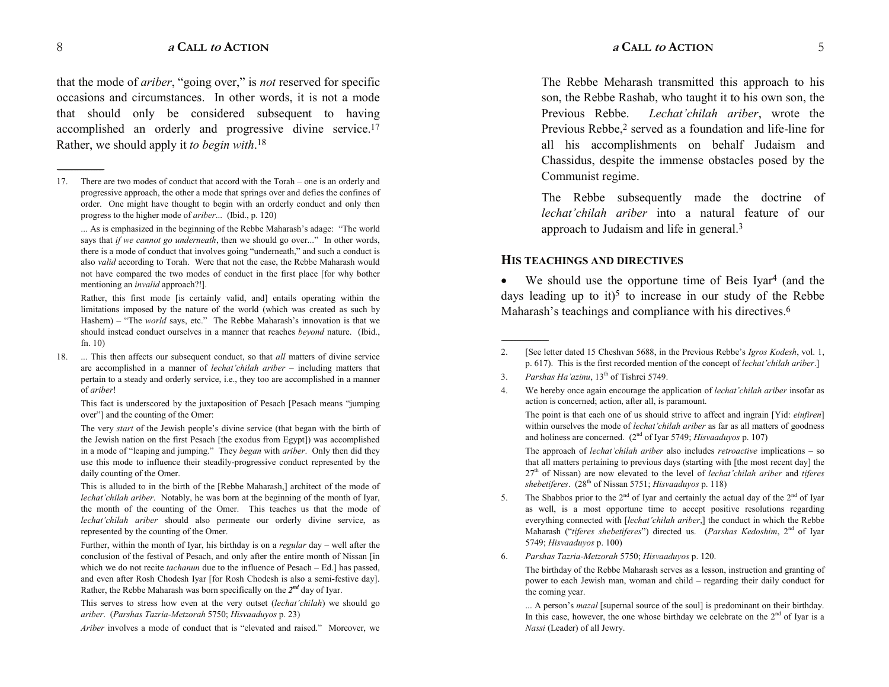that the mode of *ariber*, "going over," is *not* reserved for specific occasions and circumstances. In other words, it is not a mode that should only be considered subsequent to having accomplished an orderly and progressive divine service.17 Rather, we should apply it *to begin with*. 18

... As is emphasized in the beginning of the Rebbe Maharash's adage: "The world says that *if we cannot go underneath*, then we should go over..." In other words, there is a mode of conduct that involves going "underneath," and such a conduct is also *valid* according to Torah. Were that not the case, the Rebbe Maharash would not have compared the two modes of conduct in the first place [for why bother mentioning an *invalid* approach?!].

Rather, this first mode [is certainly valid, and] entails operating within the limitations imposed by the nature of the world (which was created as such by Hashem) – "The *world* says, etc." The Rebbe Maharash's innovation is that we should instead conduct ourselves in a manner that reaches *beyond* nature. (Ibid., fn. 10)

18. ... This then affects our subsequent conduct, so that *all* matters of divine service are accomplished in a manner of *lechat'chilah ariber* – including matters that pertain to a steady and orderly service, i.e., they too are accomplished in a manner of *ariber*!

This fact is underscored by the juxtaposition of Pesach [Pesach means "jumping over"] and the counting of the Omer:

The very *start* of the Jewish people's divine service (that began with the birth of the Jewish nation on the first Pesach [the exodus from Egypt]) was accomplished in a mode of "leaping and jumping." They *began* with *ariber*. Only then did they use this mode to influence their steadily-progressive conduct represented by the daily counting of the Omer.

This is alluded to in the birth of the [Rebbe Maharash,] architect of the mode of *lechat'chilah ariber.* Notably, he was born at the beginning of the month of Iyar, the month of the counting of the Omer. This teaches us that the mode of *lechat'chilah ariber* should also permeate our orderly divine service, as represented by the counting of the Omer.

Further, within the month of Iyar, his birthday is on a *regular* day – well after the conclusion of the festival of Pesach, and only after the entire month of Nissan [in which we do not recite *tachanun* due to the influence of Pesach – Ed.] has passed, and even after Rosh Chodesh Iyar [for Rosh Chodesh is also a semi-festive day]. Rather, the Rebbe Maharash was born specifically on the *2nd* day of Iyar.

This serves to stress how even at the very outset *(lechat'chilah*) we should go *ariber*. (*Parshas Tazria-Metzorah* 5750; *Hisvaaduyos* p. 23)

*Ariber* involves a mode of conduct that is "elevated and raised." Moreover, we

The Rebbe Meharash transmitted this approach to his son, the Rebbe Rashab, who taught it to his own son, the Previous Rebbe. *Lechat'chilah ariber*, wrote the Previous Rebbe,<sup>2</sup> served as a foundation and life-line for all his accomplishments on behalf Judaism and Chassidus, despite the immense obstacles posed by the Communist regime.

The Rebbe subsequently made the doctrine of *lechat'chilah ariber* into a natural feature of our approach to Judaism and life in general.3

#### **HIS TEACHINGS AND DIRECTIVES**

 $\bullet$  We should use the opportune time of Beis Iyar<sup>4</sup> (and the days leading up to it)<sup>5</sup> to increase in our study of the Rebbe Maharash's teachings and compliance with his directives. $6$ 

3. *Parshas Ha'azinu*, 13<sup>th</sup> of Tishrei 5749.

------------------------------------------------

4. We hereby once again encourage the application of *lechat'chilah ariber* insofar as action is concerned; action, after all, is paramount.

The point is that each one of us should strive to affect and ingrain [Yid: *einfiren*] within ourselves the mode of *lechat'chilah ariber* as far as all matters of goodness and holiness are concerned. (2nd of Iyar 5749; *Hisvaaduyos* p. 107)

The approach of *lechat'chilah ariber* also includes *retroactive* implications - so that all matters pertaining to previous days (starting with [the most recent day] the 27<sup>th</sup> of Nissan) are now elevated to the level of *lechat'chilah ariber* and *tiferes shebetiferes*. (28th of Nissan 5751; *Hisvaaduyos* p. 118)

- 5. The Shabbos prior to the  $2<sup>nd</sup>$  of Iyar and certainly the actual day of the  $2<sup>nd</sup>$  of Iyar as well, is a most opportune time to accept positive resolutions regarding everything connected with [*lechat'chilah ariber*,] the conduct in which the Rebbe Maharash (*tiferes shebetiferes*) directed us. (*Parshas Kedoshim*, 2nd of Iyar 5749; *Hisvaaduyos* p. 100)
- 6. *Parshas Tazria-Metzorah* 5750; *Hisvaaduyos* p. 120.

The birthday of the Rebbe Maharash serves as a lesson, instruction and granting of power to each Jewish man, woman and child – regarding their daily conduct for the coming year.

... A person's *mazal* [supernal source of the soul] is predominant on their birthday. In this case, however, the one whose birthday we celebrate on the  $2<sup>nd</sup>$  of Iyar is a *Nassi* (Leader) of all Jewry.

------------------------------------------------

<sup>17.</sup> There are two modes of conduct that accord with the Torah – one is an orderly and progressive approach, the other a mode that springs over and defies the confines of order. One might have thought to begin with an orderly conduct and only then progress to the higher mode of *ariber*... (Ibid., p. 120)

<sup>2. [</sup>See letter dated 15 Cheshvan 5688, in the Previous Rebbe's *Igros Kodesh*, vol. 1, p. 617). This is the first recorded mention of the concept of *lechat'chilah ariber*.]